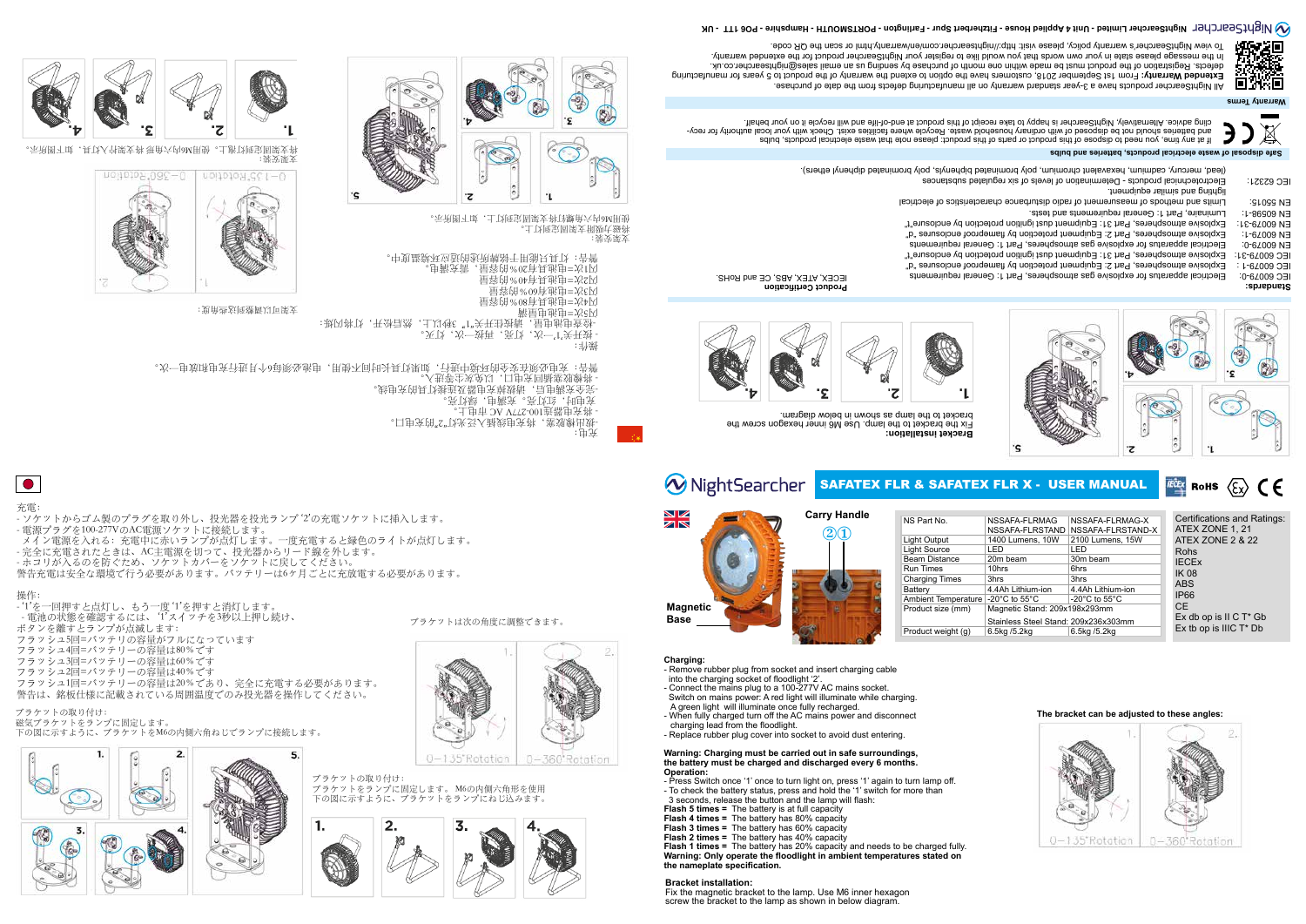#### 充電:

- ソケットからゴム製のプラグを取り外し、投光器を投光ランプ '2'の充電ソケットに挿入します。
- 電源プラグを100-277VのAC電源ソケットに接続します。
- メイン電源を入れる:充電中に赤いランプが点灯します。一度充電すると緑色のライトが点灯します。

5.

- '1'を一回押すと点灯し、もう一度 '1'を押すと消灯します。 - 電池の状態を確認するには、 '1'スイッチを3秒以上押し続け、 ボタンを離すとランプが点滅します: フラッシュ5回=バッテリの容量がフルになっています フラッシュ4回=バッテリーの容量は80%です フラッシュ3回=バッテリーの容量は60%です
- 
- フラッシュ2回=バッテリーの容量は40%です
- フラッシュ1回=バッテリーの容量は20%であり、完全に充電する必要があります。 警告は、銘板仕様に記載されている周囲温度でのみ投光器を操作してください。
- 完全に充電されたときは、AC主電源を切って、投光器からリード線を外します。
- ホコリが入るのを防ぐため、ソケットカバーをソケットに戻してください。 警告充電は安全な環境で行う必要があります。バッテリーは6ヶ月ごとに充放電する必要があります。

操作:

。口申贪饼"2"以光受人献钱申贪料,塞郊敷出妹 - 将充电器连100-277V AC 市电上。 亮飞绿,由新天,亮飞,这里的 -完全充满电后,请拔掉充电器及连接灯具的充电线。 - 将橡胶塞插回充电口,以免灰尘等进入。 警告:充电必须在安全的环境中进行,如果灯具长时间不使用,电池必须每6个月进行充电和放电一次。

ブラケットの取り付け: 磁気ブラケットをランプに固定します。 下の図に示すように、ブラケットをM6の内側六角ねじでランプに接続します。





ブラケットは次の角度に調整できます。



All NightSearcher products have a 3-year standard warrantle no ytherming defects from the date of purchase.

ブラケットの取り付け: ブラケットをランプに固定します。 M6の内側六角形を使用 下の図に示すように、ブラケットをランプにねじ込みます。



充电:

操作:

- 按开关'1'一次,灯亮,再按一次,灯灭。

-检查电池电量,请按住开关"1" 3秒以上,然后松开,灯将闪烁:

闪5次=电池电量满

闪4次=电池具有80%的容量 闪3次=电池有60%的容量 闪2次=电池具有40%的容量





闪1次=电池具有20%的容量,需充满电。

·中复盛意还应适的敌他朝龄于用翁只具飞 : 告謽

支架安装:

将磁力吸附支架固定到灯上。



支架可以调整到这些角度:



支架安装: 将支架固定到灯泡上。使用M6内六角形 将支架拧入灯具,如下图所示。



- Press Switch once '1' once to turn light on, press '1' again to turn lamp off - To check the battery status, press and hold the '1' switch for more than
- 3 seconds, release the button and the lamp will flash:
- **Flash 5 times =** The battery is at full capacity
- **Flash 4 times =** The battery has 80% capacity
- **Flash 3 times =** The battery has 60% capacity
- **Flash 2 times =** The battery has 40% capacity

**Charging:**

- Remove rubber plug from socket and insert charging cable into the charging socket of floodlight '2'.
- Connect the mains plug to a 100-277V AC mains socket.
- Switch on mains power: A red light will illuminate while charging. A green light will illuminate once fully recharged.
- When fully charged turn off the AC mains power and disconnect charging lead from the floodlight.
- Replace rubber plug cover into socket to avoid dust entering.

#### **Warning: Charging must be carried out in safe surroundings, the battery must be charged and discharged every 6 months. Operation:**

| NS Part No.                | NSSAFA-FLRMAG                        | NSSAFA-FLRMAG-X                     | Certifications and Ratings:                                                                              |
|----------------------------|--------------------------------------|-------------------------------------|----------------------------------------------------------------------------------------------------------|
|                            | NSSAFA-FLRSTAND                      | NSSAFA-FLRSTAND-X                   | ATEX ZONE 1, 21<br>ATEX ZONE 2 & 22<br>Rohs<br><b>IECEX</b><br><b>IK 08</b><br><b>ABS</b><br><b>IP66</b> |
| Light Output               | 1400 Lumens, 10W                     | 2100 Lumens, 15W                    |                                                                                                          |
| <b>Light Source</b>        | I FD.                                | LED                                 |                                                                                                          |
| Beam Distance              | 20m beam                             | 30m beam                            |                                                                                                          |
| <b>Run Times</b>           | 10hrs                                | 6hrs                                |                                                                                                          |
| <b>Charging Times</b>      | 3hrs                                 | 3hrs                                |                                                                                                          |
| <b>Battery</b>             | 4.4Ah Lithium-ion                    | 4.4Ah Lithium-ion                   |                                                                                                          |
| <b>Ambient Temperature</b> | -20 $^{\circ}$ C to 55 $^{\circ}$ C  | -20 $^{\circ}$ C to 55 $^{\circ}$ C |                                                                                                          |
| Product size (mm)          | Magnetic Stand: 209x198x293mm        |                                     | CE.                                                                                                      |
|                            | Stainless Steel Stand: 209x236x303mm |                                     | Ex db op is $II \, C \, T^* \, Gb$                                                                       |
| Product weight (g)         | 6.5kg /5.2kg                         | 6.5kg /5.2kg                        | Ex tb op is IIIC $T^*$ Db                                                                                |











**Flash 1 times =** The battery has 20% capacity and needs to be charged fully. **Warning: Only operate the floodlight in ambient temperatures stated on the nameplate specification.**

# WightSearcher Nightsearcher Limited - Unit 4 Applied House - Fitzherbert Spur - Farlington - PORTSMOUTH - Hampshire - PO6 1TT - UK

# Extended Warranty: From 1st September 2018, customers have the option to extend the warranty of the product to 5 years for manufacturing defects. Registration of the product must be made within one month of purchase by sending us an email sales@nightsearcher.co.uk. . In the message please state in your own words that you would like to register your NightSearcher product for the extended warranty To view NightSearcher's warranty policy, please visit: http://nightsearcher.com/en/warranty.html or scan the QR code.







#### **Bracket installation:**

Fix the magnetic bracket to the lamp. Use M6 inner hexagon screw the bracket to the lamp as shown in below diagram.



















 $\overline{\mathbf{z}}$ 

**Warranty Terms**



*ECEX* ROHS  $\langle \xi \chi \rangle$  (  $\epsilon$ 

If at any time, you need to dispose of this product or parts of this product: please note that waste electrical products, bulbs and batteries should not be disposed of with ordinary housenodd waste. Recycle where facilities exist. Check with your local authority for recycling advice. Alternatively, NightSearcher is happy to take receipt of this product at end-of-life and will recycle it on your behalf.

**Safe disposal of waste electrical products, batteries and bulbs**

**Standards:**



lighting and similar equipment. IEC 62321: Electrotechnical products - Determination of levels of six regulated substances (lead, mercury, cadmium, hexavalent chromium, poly brominated biphenyls, poly brominated diphenyl ethers).

EN 60598-1: Luminaire, Part 1: General requirements and tests. EN 55015: Limits and methods of measurement of radio disturbance characteristics of electrical

IEC 60079-0: Electrical apparatus for explosive gas atmospheres, Part 1: General requirements IEC 60079-1: Explosive atmospheres, Part 2: Equipment protection by flameproof enclosures "d" IEC 60079-31: Explosive atmospheres, Part 31: Equipment dust ignition protection by enclosure"t" EN 60079-0: Electrical apparatus for explosive gas atmospheres, Part 1: General requirements EN 60079-1: Exblosive atmospheres, Part 2: Equipment protection by flameproof enclosures "d" EN 60079-31: Explosive atmospheres, Part 31: Equipment dust ignition protection by enclosure"t"

**Product Certification** IECEX, ATEX, ABS, CE and RoHS.



**Bracket installation:** Fix the bracket to the lamp. Use M6 inner hexagon screw the bracket to the lamp as shown in below diagram.



# **W** Night Searcher SAFATEX FLR & SAFATEX FLR X - USER MANUAL